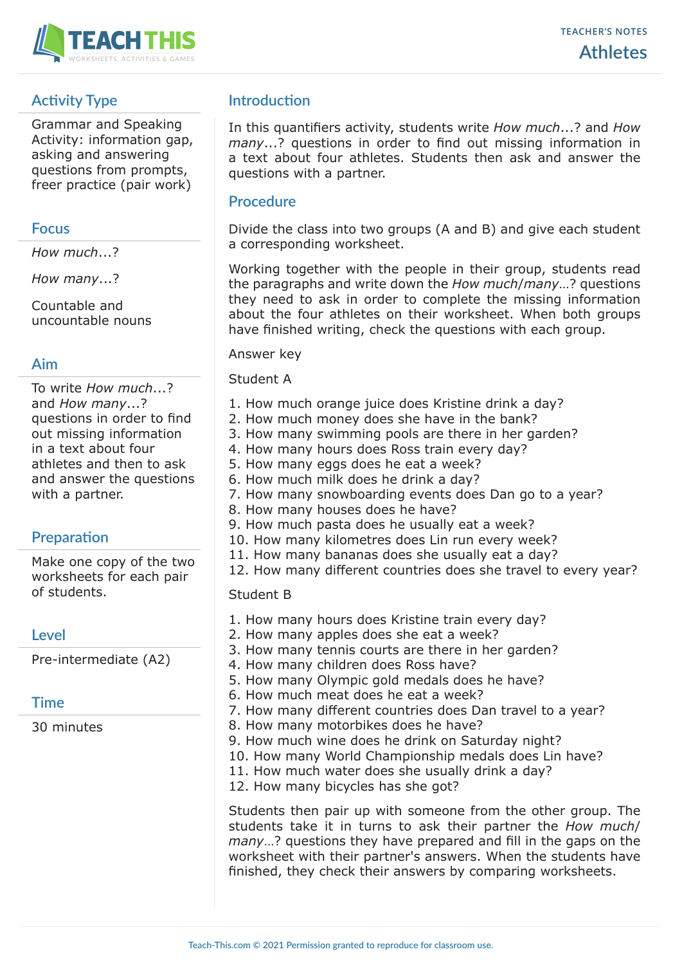

# **Activity Type**

Grammar and Speaking Activity: information gap, asking and answering questions from prompts, freer practice (pair work)

### **Focus**

*How much*...?

*How many*...?

Countable and uncountable nouns

## **Aim**

To write *How much*...? and *How many*...? questions in order to find out missing information in a text about four athletes and then to ask and answer the questions with a partner.

## **Preparation**

Make one copy of the two worksheets for each pair of students.

## **Level**

Pre-intermediate (A2)

## **Time**

30 minutes

## **Introduction**

In this quantifiers activity, students write *How much*...? and *How many*...? questions in order to find out missing information in a text about four athletes. Students then ask and answer the questions with a partner.

## **Procedure**

Divide the class into two groups (A and B) and give each student a corresponding worksheet.

Working together with the people in their group, students read the paragraphs and write down the *How much*/*many*…? questions they need to ask in order to complete the missing information about the four athletes on their worksheet. When both groups have finished writing, check the questions with each group.

#### Answer key

#### Student A

- 1. How much orange juice does Kristine drink a day?
- 2. How much money does she have in the bank?
- 3. How many swimming pools are there in her garden?
- 4. How many hours does Ross train every day?
- 5. How many eggs does he eat a week?
- 6. How much milk does he drink a day?
- 7. How many snowboarding events does Dan go to a year?
- 8. How many houses does he have?
- 9. How much pasta does he usually eat a week?
- 10. How many kilometres does Lin run every week?
- 11. How many bananas does she usually eat a day?
- 12. How many different countries does she travel to every year?

## Student B

- 1. How many hours does Kristine train every day?
- 2. How many apples does she eat a week?
- 3. How many tennis courts are there in her garden?
- 4. How many children does Ross have?
- 5. How many Olympic gold medals does he have?
	- 6. How much meat does he eat a week?
	- 7. How many different countries does Dan travel to a year?
	- 8. How many motorbikes does he have?
	- 9. How much wine does he drink on Saturday night?
	- 10. How many World Championship medals does Lin have?
	- 11. How much water does she usually drink a day?
	- 12. How many bicycles has she got?

Students then pair up with someone from the other group. The students take it in turns to ask their partner the *How much*/ *many*…? questions they have prepared and fill in the gaps on the worksheet with their partner's answers. When the students have finished, they check their answers by comparing worksheets.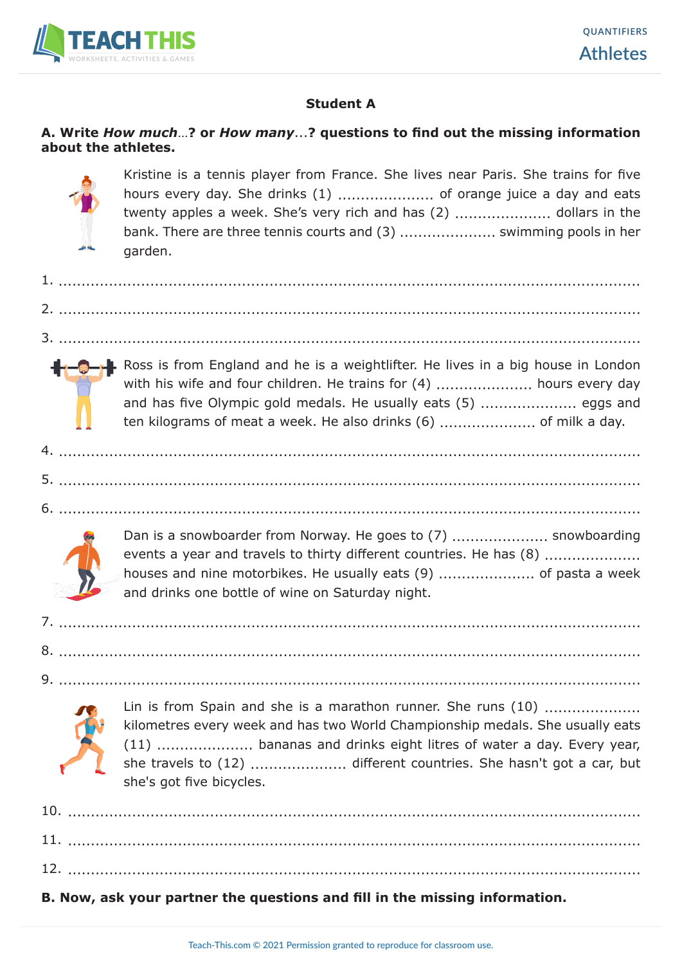

## **Student A**

## **A. Write** *How much*…**? or** *How many*...**? questions to find out the missing information about the athletes.**



 Kristine is a tennis player from France. She lives near Paris. She trains for five hours every day. She drinks (1) ..................... of orange juice a day and eats twenty apples a week. She's very rich and has (2) ..................... dollars in the bank. There are three tennis courts and (3) ..................... swimming pools in her garden.

1. ............................................................................................................................... 2. ............................................................................................................................... 3. ............................................................................................................................... Ross is from England and he is a weightlifter. He lives in a big house in London with his wife and four children. He trains for (4) ............................ hours every day and has five Olympic gold medals. He usually eats (5) ..................... eggs and ten kilograms of meat a week. He also drinks (6) ..................... of milk a day. 4. ............................................................................................................................... 5. ............................................................................................................................... 6. ............................................................................................................................... Dan is a snowboarder from Norway. He goes to (7) ....................... snowboarding events a year and travels to thirty different countries. He has (8) ....................... houses and nine motorbikes. He usually eats (9) ............................. of pasta a week and drinks one bottle of wine on Saturday night. 7. ............................................................................................................................... 8. ............................................................................................................................... 9. ............................................................................................................................... Lin is from Spain and she is a marathon runner. She runs (10) ..................... kilometres every week and has two World Championship medals. She usually eats (11) ..................... bananas and drinks eight litres of water a day. Every year, she travels to (12) ..................... different countries. She hasn't got a car, but she's got five bicycles. 10. .............................................................................................................................

# **B. Now, ask your partner the questions and fill in the missing information.**